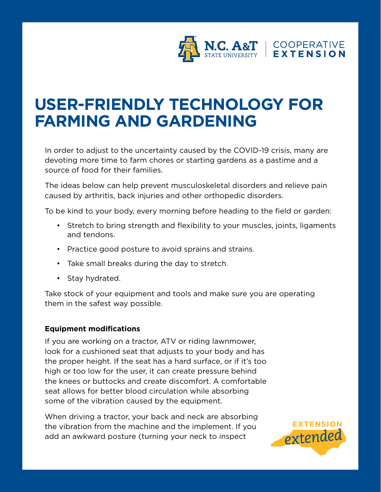

# **USER-FRIENDLY TECHNOLOGY FOR FARMING AND GARDENING**

In order to adjust to the uncertainty caused by the COVID-19 crisis, many are devoting more time to farm chores or starting gardens as a pastime and a source of food for their families.

The ideas below can help prevent musculoskeletal disorders and relieve pain caused by arthritis, back injuries and other orthopedic disorders.

To be kind to your body, every morning before heading to the field or garden:

- Stretch to bring strength and flexibility to your muscles, joints, ligaments and tendons.
- Practice good posture to avoid sprains and strains.
- Take small breaks during the day to stretch.
- Stay hydrated.

Take stock of your equipment and tools and make sure you are operating them in the safest way possible.

#### **Equipment modifications**

If you are working on a tractor, ATV or riding lawnmower, look for a cushioned seat that adjusts to your body and has the proper height. If the seat has a hard surface, or if it's too high or too low for the user, it can create pressure behind the knees or buttocks and create discomfort. A comfortable seat allows for better blood circulation while absorbing some of the vibration caused by the equipment.

When driving a tractor, your back and neck are absorbing the vibration from the machine and the implement. If you add an awkward posture (turning your neck to inspect

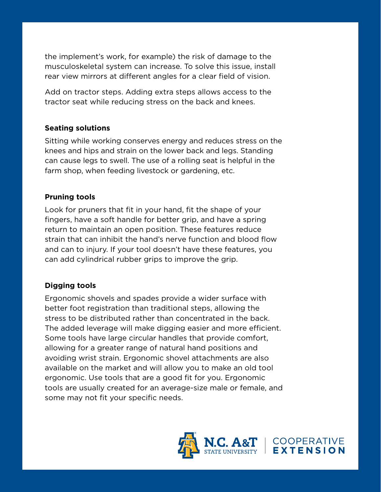the implement's work, for example) the risk of damage to the musculoskeletal system can increase. To solve this issue, install rear view mirrors at different angles for a clear field of vision.

Add on tractor steps. Adding extra steps allows access to the tractor seat while reducing stress on the back and knees.

## **Seating solutions**

Sitting while working conserves energy and reduces stress on the knees and hips and strain on the lower back and legs. Standing can cause legs to swell. The use of a rolling seat is helpful in the farm shop, when feeding livestock or gardening, etc.

## **Pruning tools**

Look for pruners that fit in your hand, fit the shape of your fingers, have a soft handle for better grip, and have a spring return to maintain an open position. These features reduce strain that can inhibit the hand's nerve function and blood flow and can to injury. If your tool doesn't have these features, you can add cylindrical rubber grips to improve the grip.

## **Digging tools**

Ergonomic shovels and spades provide a wider surface with better foot registration than traditional steps, allowing the stress to be distributed rather than concentrated in the back. The added leverage will make digging easier and more efficient. Some tools have large circular handles that provide comfort, allowing for a greater range of natural hand positions and avoiding wrist strain. Ergonomic shovel attachments are also available on the market and will allow you to make an old tool ergonomic. Use tools that are a good fit for you. Ergonomic tools are usually created for an average-size male or female, and some may not fit your specific needs.

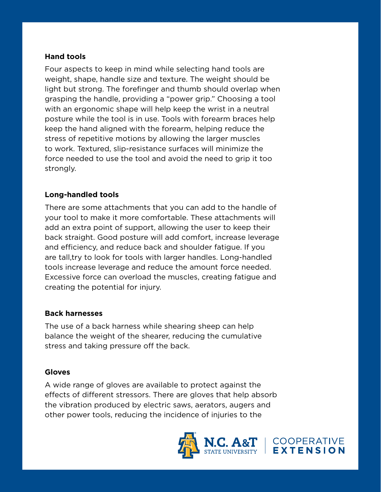### **Hand tools**

Four aspects to keep in mind while selecting hand tools are weight, shape, handle size and texture. The weight should be light but strong. The forefinger and thumb should overlap when grasping the handle, providing a "power grip." Choosing a tool with an ergonomic shape will help keep the wrist in a neutral posture while the tool is in use. Tools with forearm braces help keep the hand aligned with the forearm, helping reduce the stress of repetitive motions by allowing the larger muscles to work. Textured, slip-resistance surfaces will minimize the force needed to use the tool and avoid the need to grip it too strongly.

#### **Long-handled tools**

There are some attachments that you can add to the handle of your tool to make it more comfortable. These attachments will add an extra point of support, allowing the user to keep their back straight. Good posture will add comfort, increase leverage and efficiency, and reduce back and shoulder fatigue. If you are tall,try to look for tools with larger handles. Long-handled tools increase leverage and reduce the amount force needed. Excessive force can overload the muscles, creating fatigue and creating the potential for injury.

#### **Back harnesses**

The use of a back harness while shearing sheep can help balance the weight of the shearer, reducing the cumulative stress and taking pressure off the back.

#### **Gloves**

A wide range of gloves are available to protect against the effects of different stressors. There are gloves that help absorb the vibration produced by electric saws, aerators, augers and other power tools, reducing the incidence of injuries to the



COOPERATIVE